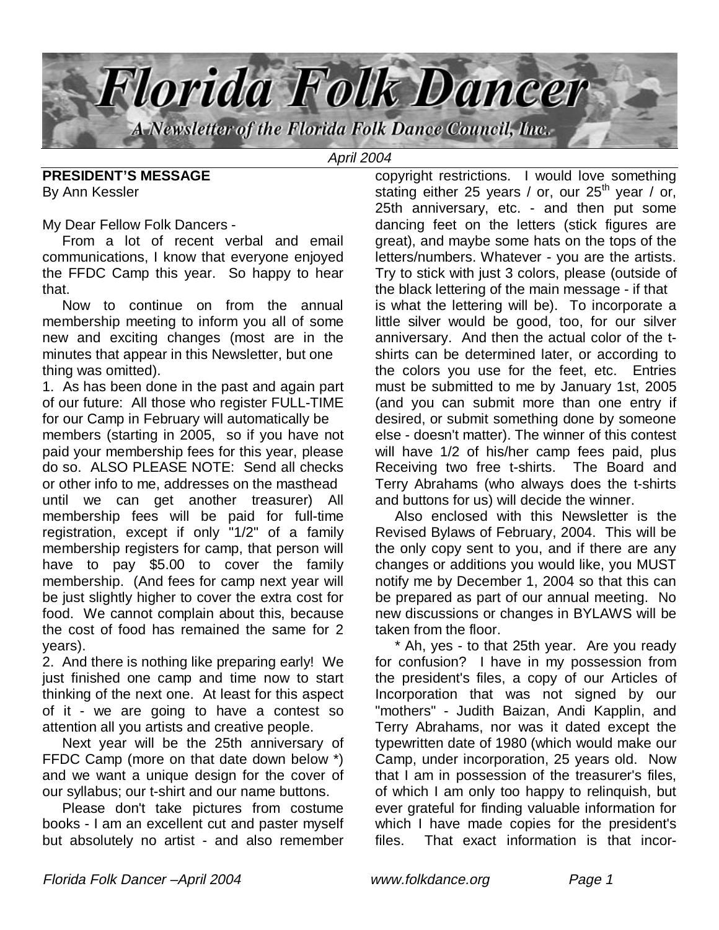

April 2004

**PRESIDENT'S MESSAGE** By Ann Kessler

My Dear Fellow Folk Dancers -

 From a lot of recent verbal and email communications, I know that everyone enjoyed the FFDC Camp this year. So happy to hear that.

 Now to continue on from the annual membership meeting to inform you all of some new and exciting changes (most are in the minutes that appear in this Newsletter, but one thing was omitted).

1. As has been done in the past and again part of our future: All those who register FULL-TIME for our Camp in February will automatically be members (starting in 2005, so if you have not paid your membership fees for this year, please do so. ALSO PLEASE NOTE: Send all checks or other info to me, addresses on the masthead until we can get another treasurer) All membership fees will be paid for full-time registration, except if only "1/2" of a family membership registers for camp, that person will have to pay \$5.00 to cover the family membership. (And fees for camp next year will be just slightly higher to cover the extra cost for food. We cannot complain about this, because the cost of food has remained the same for 2 years).

2. And there is nothing like preparing early! We just finished one camp and time now to start thinking of the next one. At least for this aspect of it - we are going to have a contest so attention all you artists and creative people.

 Next year will be the 25th anniversary of FFDC Camp (more on that date down below \*) and we want a unique design for the cover of our syllabus; our t-shirt and our name buttons.

 Please don't take pictures from costume books - I am an excellent cut and paster myself but absolutely no artist - and also remember

copyright restrictions. I would love something stating either 25 years / or, our  $25<sup>th</sup>$  year / or, 25th anniversary, etc. - and then put some dancing feet on the letters (stick figures are great), and maybe some hats on the tops of the letters/numbers. Whatever - you are the artists. Try to stick with just 3 colors, please (outside of the black lettering of the main message - if that is what the lettering will be). To incorporate a little silver would be good, too, for our silver anniversary. And then the actual color of the tshirts can be determined later, or according to the colors you use for the feet, etc. Entries must be submitted to me by January 1st, 2005 (and you can submit more than one entry if desired, or submit something done by someone else - doesn't matter). The winner of this contest will have 1/2 of his/her camp fees paid, plus Receiving two free t-shirts. The Board and Terry Abrahams (who always does the t-shirts and buttons for us) will decide the winner.

 Also enclosed with this Newsletter is the Revised Bylaws of February, 2004. This will be the only copy sent to you, and if there are any changes or additions you would like, you MUST notify me by December 1, 2004 so that this can be prepared as part of our annual meeting. No new discussions or changes in BYLAWS will be taken from the floor.

 \* Ah, yes - to that 25th year. Are you ready for confusion? I have in my possession from the president's files, a copy of our Articles of Incorporation that was not signed by our "mothers" - Judith Baizan, Andi Kapplin, and Terry Abrahams, nor was it dated except the typewritten date of 1980 (which would make our Camp, under incorporation, 25 years old. Now that I am in possession of the treasurer's files, of which I am only too happy to relinquish, but ever grateful for finding valuable information for which I have made copies for the president's files. That exact information is that incor-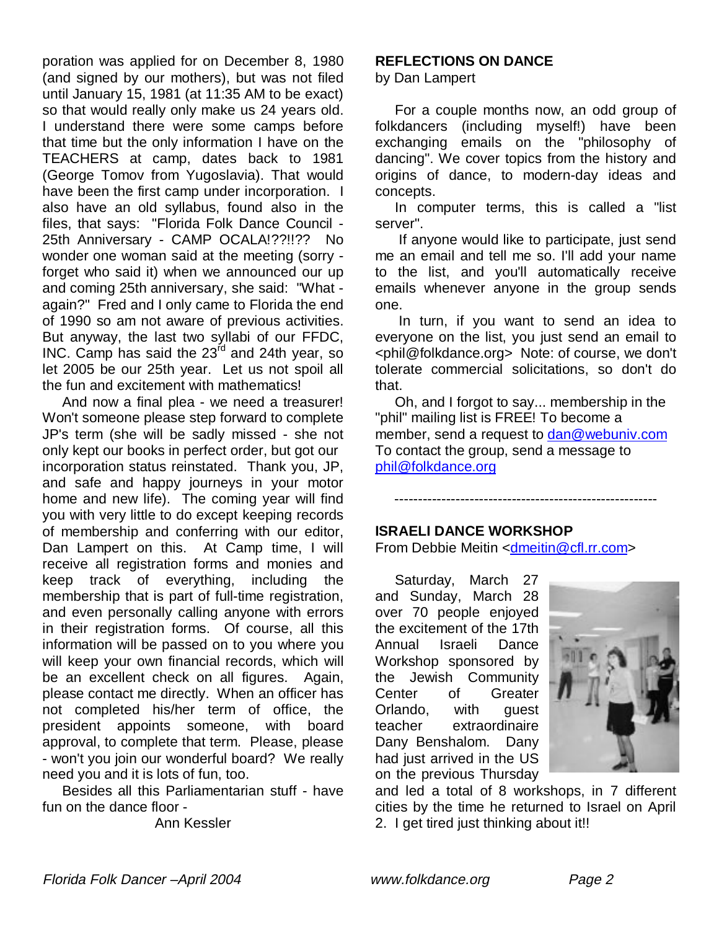poration was applied for on December 8, 1980 (and signed by our mothers), but was not filed until January 15, 1981 (at 11:35 AM to be exact) so that would really only make us 24 years old. I understand there were some camps before that time but the only information I have on the TEACHERS at camp, dates back to 1981 (George Tomov from Yugoslavia). That would have been the first camp under incorporation. I also have an old syllabus, found also in the files, that says: "Florida Folk Dance Council - 25th Anniversary - CAMP OCALA!??!!?? No wonder one woman said at the meeting (sorry forget who said it) when we announced our up and coming 25th anniversary, she said: "What again?" Fred and I only came to Florida the end of 1990 so am not aware of previous activities. But anyway, the last two syllabi of our FFDC, INC. Camp has said the 23<sup>rd</sup> and 24th year, so let 2005 be our 25th year. Let us not spoil all the fun and excitement with mathematics!

 And now a final plea - we need a treasurer! Won't someone please step forward to complete JP's term (she will be sadly missed - she not only kept our books in perfect order, but got our incorporation status reinstated. Thank you, JP, and safe and happy journeys in your motor home and new life). The coming year will find you with very little to do except keeping records of membership and conferring with our editor, Dan Lampert on this. At Camp time, I will receive all registration forms and monies and keep track of everything, including the membership that is part of full-time registration, and even personally calling anyone with errors in their registration forms. Of course, all this information will be passed on to you where you will keep your own financial records, which will be an excellent check on all figures. Again, please contact me directly. When an officer has not completed his/her term of office, the president appoints someone, with board approval, to complete that term. Please, please - won't you join our wonderful board? We really need you and it is lots of fun, too.

 Besides all this Parliamentarian stuff - have fun on the dance floor -

Ann Kessler

## **REFLECTIONS ON DANCE**

by Dan Lampert

 For a couple months now, an odd group of folkdancers (including myself!) have been exchanging emails on the "philosophy of dancing". We cover topics from the history and origins of dance, to modern-day ideas and concepts.

 In computer terms, this is called a "list server".

 If anyone would like to participate, just send me an email and tell me so. I'll add your name to the list, and you'll automatically receive emails whenever anyone in the group sends one.

 In turn, if you want to send an idea to everyone on the list, you just send an email to <phil@folkdance.org> Note: of course, we don't tolerate commercial solicitations, so don't do that.

 Oh, and I forgot to say... membership in the "phil" mailing list is FREE! To become a member, send a request to dan@webuniv.com To contact the group, send a message to phil@folkdance.org

--------------------------------------------------------

## **ISRAELI DANCE WORKSHOP**

From Debbie Meitin <dmeitin@cfl.rr.com>

 Saturday, March 27 and Sunday, March 28 over 70 people enjoyed the excitement of the 17th Annual Israeli Dance Workshop sponsored by the Jewish Community Center of Greater Orlando, with guest teacher extraordinaire Dany Benshalom. Dany had just arrived in the US on the previous Thursday



and led a total of 8 workshops, in 7 different cities by the time he returned to Israel on April 2. I get tired just thinking about it!!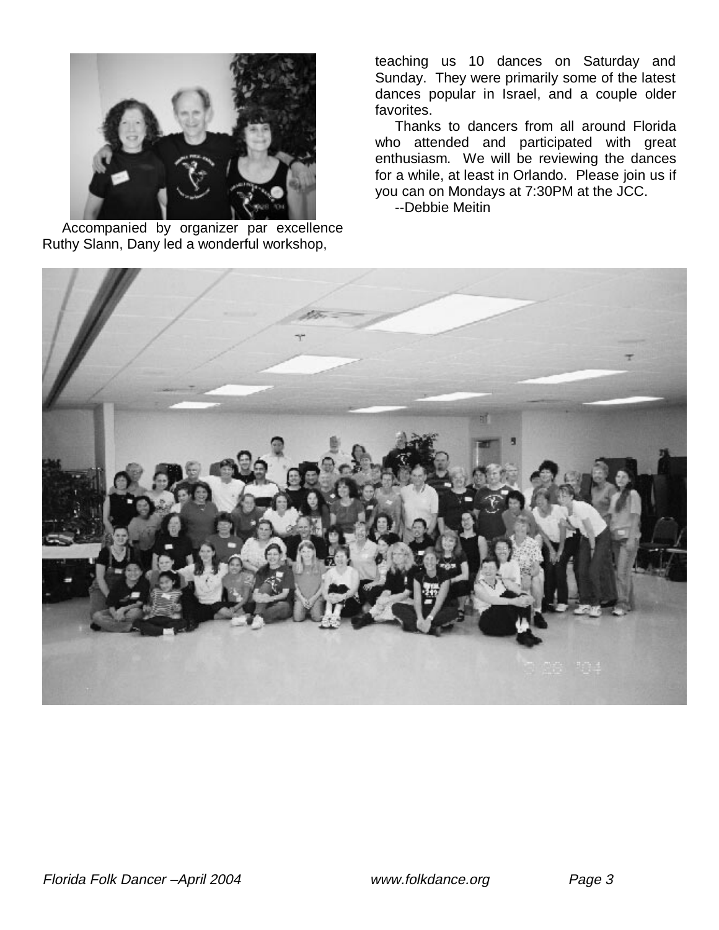

 Accompanied by organizer par excellence Ruthy Slann, Dany led a wonderful workshop,

teaching us 10 dances on Saturday and Sunday. They were primarily some of the latest dances popular in Israel, and a couple older favorites.

 Thanks to dancers from all around Florida who attended and participated with great enthusiasm. We will be reviewing the dances for a while, at least in Orlando. Please join us if you can on Mondays at 7:30PM at the JCC.

--Debbie Meitin

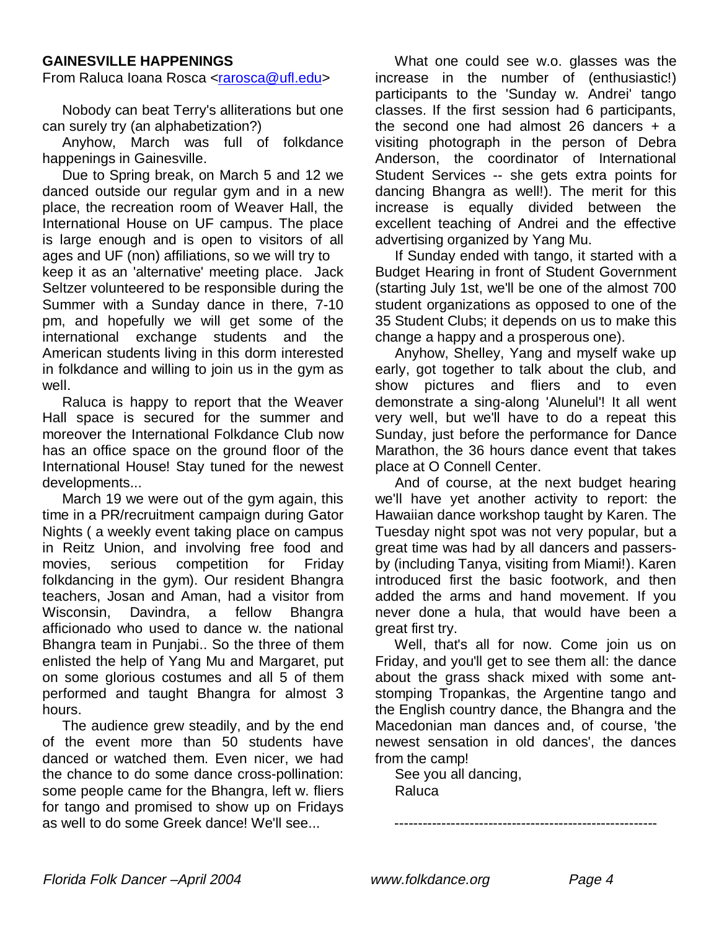#### **GAINESVILLE HAPPENINGS**

From Raluca Ioana Rosca <rarosca@ufl.edu>

 Nobody can beat Terry's alliterations but one can surely try (an alphabetization?)

 Anyhow, March was full of folkdance happenings in Gainesville.

 Due to Spring break, on March 5 and 12 we danced outside our regular gym and in a new place, the recreation room of Weaver Hall, the International House on UF campus. The place is large enough and is open to visitors of all ages and UF (non) affiliations, so we will try to keep it as an 'alternative' meeting place. Jack Seltzer volunteered to be responsible during the Summer with a Sunday dance in there, 7-10 pm, and hopefully we will get some of the international exchange students and the American students living in this dorm interested in folkdance and willing to join us in the gym as well.

 Raluca is happy to report that the Weaver Hall space is secured for the summer and moreover the International Folkdance Club now has an office space on the ground floor of the International House! Stay tuned for the newest developments...

 March 19 we were out of the gym again, this time in a PR/recruitment campaign during Gator Nights ( a weekly event taking place on campus in Reitz Union, and involving free food and movies, serious competition for Friday folkdancing in the gym). Our resident Bhangra teachers, Josan and Aman, had a visitor from Wisconsin, Davindra, a fellow Bhangra afficionado who used to dance w. the national Bhangra team in Punjabi.. So the three of them enlisted the help of Yang Mu and Margaret, put on some glorious costumes and all 5 of them performed and taught Bhangra for almost 3 hours.

 The audience grew steadily, and by the end of the event more than 50 students have danced or watched them. Even nicer, we had the chance to do some dance cross-pollination: some people came for the Bhangra, left w. fliers for tango and promised to show up on Fridays as well to do some Greek dance! We'll see...

 What one could see w.o. glasses was the increase in the number of (enthusiastic!) participants to the 'Sunday w. Andrei' tango classes. If the first session had 6 participants, the second one had almost 26 dancers  $+$  a visiting photograph in the person of Debra Anderson, the coordinator of International Student Services -- she gets extra points for dancing Bhangra as well!). The merit for this increase is equally divided between the excellent teaching of Andrei and the effective advertising organized by Yang Mu.

 If Sunday ended with tango, it started with a Budget Hearing in front of Student Government (starting July 1st, we'll be one of the almost 700 student organizations as opposed to one of the 35 Student Clubs; it depends on us to make this change a happy and a prosperous one).

 Anyhow, Shelley, Yang and myself wake up early, got together to talk about the club, and show pictures and fliers and to even demonstrate a sing-along 'Alunelul'! It all went very well, but we'll have to do a repeat this Sunday, just before the performance for Dance Marathon, the 36 hours dance event that takes place at O Connell Center.

 And of course, at the next budget hearing we'll have yet another activity to report: the Hawaiian dance workshop taught by Karen. The Tuesday night spot was not very popular, but a great time was had by all dancers and passersby (including Tanya, visiting from Miami!). Karen introduced first the basic footwork, and then added the arms and hand movement. If you never done a hula, that would have been a great first try.

 Well, that's all for now. Come join us on Friday, and you'll get to see them all: the dance about the grass shack mixed with some antstomping Tropankas, the Argentine tango and the English country dance, the Bhangra and the Macedonian man dances and, of course, 'the newest sensation in old dances', the dances from the camp!

--------------------------------------------------------

 See you all dancing, Raluca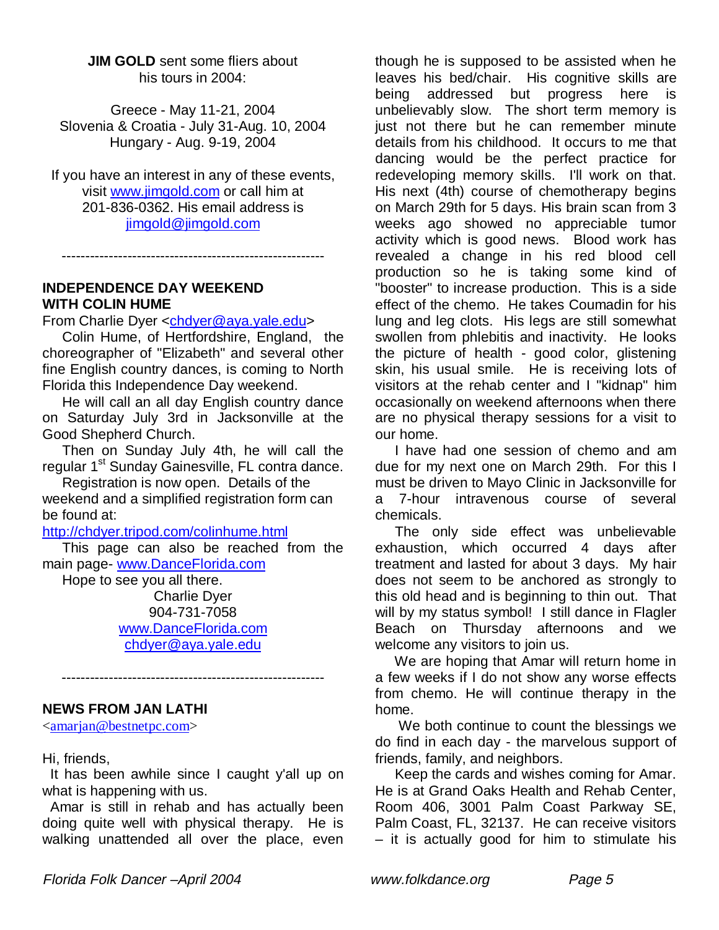**JIM GOLD** sent some fliers about his tours in 2004:

Greece - May 11-21, 2004 Slovenia & Croatia - July 31-Aug. 10, 2004 Hungary - Aug. 9-19, 2004

If you have an interest in any of these events, visit www.jimgold.com or call him at 201-836-0362. His email address is jimgold@jimgold.com

--------------------------------------------------------

#### **INDEPENDENCE DAY WEEKEND WITH COLIN HUME**

From Charlie Dyer <chdyer@aya.yale.edu>

 Colin Hume, of Hertfordshire, England, the choreographer of "Elizabeth" and several other fine English country dances, is coming to North Florida this Independence Day weekend.

 He will call an all day English country dance on Saturday July 3rd in Jacksonville at the Good Shepherd Church.

 Then on Sunday July 4th, he will call the regular 1<sup>st</sup> Sunday Gainesville, FL contra dance.

 Registration is now open. Details of the weekend and a simplified registration form can be found at:

http://chdyer.tripod.com/colinhume.html

 This page can also be reached from the main page- www.DanceFlorida.com

Hope to see you all there.

Charlie Dyer 904-731-7058 www.DanceFlorida.com chdyer@aya.yale.edu

--------------------------------------------------------

## **NEWS FROM JAN LATHI**

<amarjan@bestnetpc.com>

Hi, friends,

 It has been awhile since I caught y'all up on what is happening with us.

 Amar is still in rehab and has actually been doing quite well with physical therapy. He is walking unattended all over the place, even

though he is supposed to be assisted when he leaves his bed/chair. His cognitive skills are being addressed but progress here is unbelievably slow. The short term memory is just not there but he can remember minute details from his childhood. It occurs to me that dancing would be the perfect practice for redeveloping memory skills. I'll work on that. His next (4th) course of chemotherapy begins on March 29th for 5 days. His brain scan from 3 weeks ago showed no appreciable tumor activity which is good news. Blood work has revealed a change in his red blood cell production so he is taking some kind of "booster" to increase production. This is a side effect of the chemo. He takes Coumadin for his lung and leg clots. His legs are still somewhat swollen from phlebitis and inactivity. He looks the picture of health - good color, glistening skin, his usual smile. He is receiving lots of visitors at the rehab center and I "kidnap" him occasionally on weekend afternoons when there are no physical therapy sessions for a visit to our home.

 I have had one session of chemo and am due for my next one on March 29th. For this I must be driven to Mayo Clinic in Jacksonville for a 7-hour intravenous course of several chemicals.

 The only side effect was unbelievable exhaustion, which occurred 4 days after treatment and lasted for about 3 days. My hair does not seem to be anchored as strongly to this old head and is beginning to thin out. That will by my status symbol! I still dance in Flagler Beach on Thursday afternoons and we welcome any visitors to join us.

 We are hoping that Amar will return home in a few weeks if I do not show any worse effects from chemo. He will continue therapy in the home.

 We both continue to count the blessings we do find in each day - the marvelous support of friends, family, and neighbors.

 Keep the cards and wishes coming for Amar. He is at Grand Oaks Health and Rehab Center, Room 406, 3001 Palm Coast Parkway SE, Palm Coast, FL, 32137. He can receive visitors – it is actually good for him to stimulate his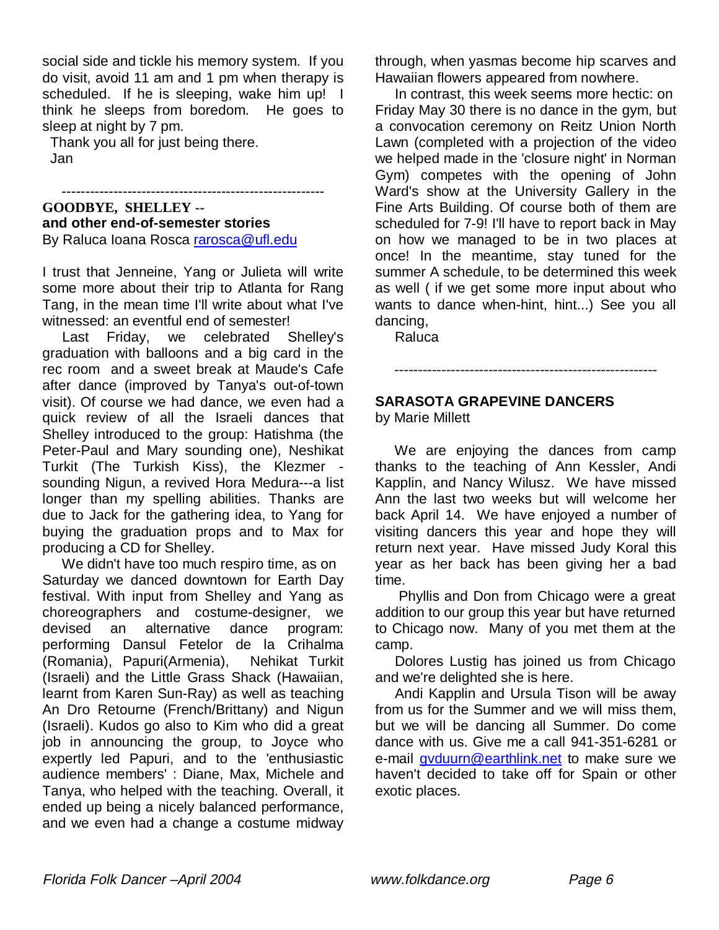social side and tickle his memory system. If you do visit, avoid 11 am and 1 pm when therapy is scheduled. If he is sleeping, wake him up! I think he sleeps from boredom. He goes to sleep at night by 7 pm.

--------------------------------------------------------

 Thank you all for just being there. Jan

#### **GOODBYE, SHELLEY - and other end-of-semester stories** By Raluca Ioana Rosca rarosca@ufl.edu

I trust that Jenneine, Yang or Julieta will write some more about their trip to Atlanta for Rang Tang, in the mean time I'll write about what I've witnessed: an eventful end of semester!

 Last Friday, we celebrated Shelley's graduation with balloons and a big card in the rec room and a sweet break at Maude's Cafe after dance (improved by Tanya's out-of-town visit). Of course we had dance, we even had a quick review of all the Israeli dances that Shelley introduced to the group: Hatishma (the Peter-Paul and Mary sounding one), Neshikat Turkit (The Turkish Kiss), the Klezmer sounding Nigun, a revived Hora Medura---a list longer than my spelling abilities. Thanks are due to Jack for the gathering idea, to Yang for buying the graduation props and to Max for producing a CD for Shelley.

 We didn't have too much respiro time, as on Saturday we danced downtown for Earth Day festival. With input from Shelley and Yang as choreographers and costume-designer, we devised an alternative dance program: performing Dansul Fetelor de la Crihalma (Romania), Papuri(Armenia), Nehikat Turkit (Israeli) and the Little Grass Shack (Hawaiian, learnt from Karen Sun-Ray) as well as teaching An Dro Retourne (French/Brittany) and Nigun (Israeli). Kudos go also to Kim who did a great job in announcing the group, to Joyce who expertly led Papuri, and to the 'enthusiastic audience members' : Diane, Max, Michele and Tanya, who helped with the teaching. Overall, it ended up being a nicely balanced performance, and we even had a change a costume midway

through, when yasmas become hip scarves and Hawaiian flowers appeared from nowhere.

 In contrast, this week seems more hectic: on Friday May 30 there is no dance in the gym, but a convocation ceremony on Reitz Union North Lawn (completed with a projection of the video we helped made in the 'closure night' in Norman Gym) competes with the opening of John Ward's show at the University Gallery in the Fine Arts Building. Of course both of them are scheduled for 7-9! I'll have to report back in May on how we managed to be in two places at once! In the meantime, stay tuned for the summer A schedule, to be determined this week as well ( if we get some more input about who wants to dance when-hint, hint...) See you all dancing,

**Raluca** 

# **SARASOTA GRAPEVINE DANCERS**

--------------------------------------------------------

by Marie Millett

 We are enjoying the dances from camp thanks to the teaching of Ann Kessler, Andi Kapplin, and Nancy Wilusz. We have missed Ann the last two weeks but will welcome her back April 14. We have enjoyed a number of visiting dancers this year and hope they will return next year. Have missed Judy Koral this year as her back has been giving her a bad time.

 Phyllis and Don from Chicago were a great addition to our group this year but have returned to Chicago now. Many of you met them at the camp.

 Dolores Lustig has joined us from Chicago and we're delighted she is here.

 Andi Kapplin and Ursula Tison will be away from us for the Summer and we will miss them, but we will be dancing all Summer. Do come dance with us. Give me a call 941-351-6281 or e-mail gvduurn@earthlink.net to make sure we haven't decided to take off for Spain or other exotic places.